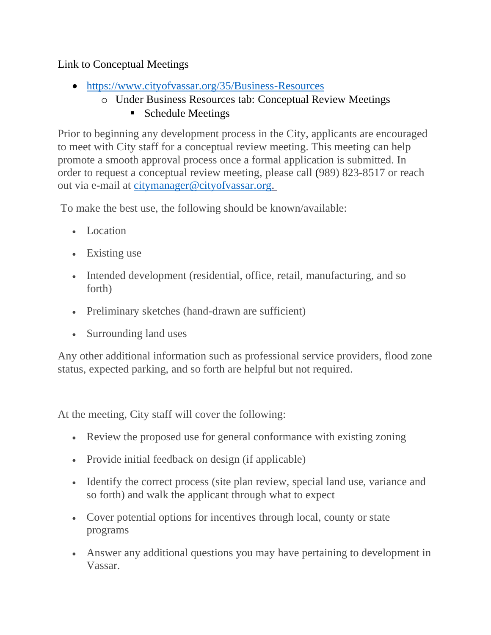## Link to Conceptual Meetings

- <https://www.cityofvassar.org/35/Business-Resources>
	- o Under Business Resources tab: Conceptual Review Meetings
		- Schedule Meetings

Prior to beginning any development process in the City, applicants are encouraged to meet with City staff for a conceptual review meeting. This meeting can help promote a smooth approval process once a formal application is submitted. In order to request a conceptual review meeting, please call (989) 823-8517 or reach out via e-mail at [citymanager@cityofvassar.org.](mailto:citymanager@cityofvassar.org)

To make the best use, the following should be known/available:

- Location
- Existing use
- Intended development (residential, office, retail, manufacturing, and so forth)
- Preliminary sketches (hand-drawn are sufficient)
- Surrounding land uses

Any other additional information such as professional service providers, flood zone status, expected parking, and so forth are helpful but not required.

At the meeting, City staff will cover the following:

- Review the proposed use for general conformance with existing zoning
- Provide initial feedback on design (if applicable)
- Identify the correct process (site plan review, special land use, variance and so forth) and walk the applicant through what to expect
- Cover potential options for incentives through local, county or state programs
- Answer any additional questions you may have pertaining to development in Vassar.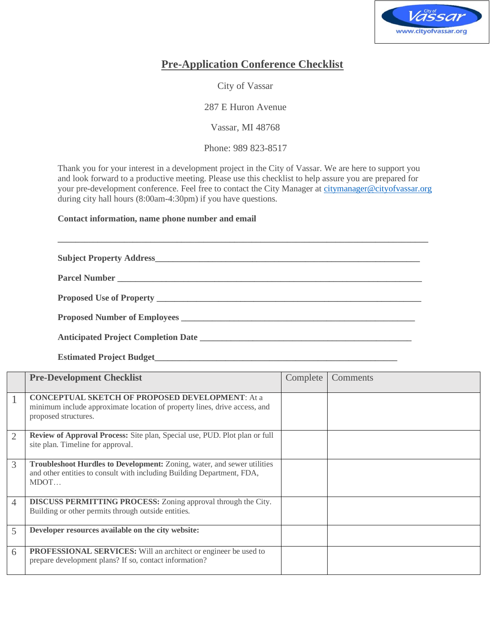

## **Pre-Application Conference Checklist**

City of Vassar

287 E Huron Avenue

Vassar, MI 48768

Phone: 989 823-8517

Thank you for your interest in a development project in the City of Vassar. We are here to support you and look forward to a productive meeting. Please use this checklist to help assure you are prepared for your pre-development conference. Feel free to contact the City Manager a[t citymanager@cityofvassar.org](mailto:citymanager@cityofvassar.org) during city hall hours (8:00am-4:30pm) if you have questions.

**Contact information, name phone number and email**

**\_\_\_\_\_\_\_\_\_\_\_\_\_\_\_\_\_\_\_\_\_\_\_\_\_\_\_\_\_\_\_\_\_\_\_\_\_\_\_\_\_\_\_\_\_\_\_\_\_\_\_\_\_\_\_\_\_\_\_\_\_\_\_\_\_\_\_\_\_\_\_\_\_\_\_\_\_\_\_\_\_\_\_\_ Subject Property Address\_\_\_\_\_\_\_\_\_\_\_\_\_\_\_\_\_\_\_\_\_\_\_\_\_\_\_\_\_\_\_\_\_\_\_\_\_\_\_\_\_\_\_\_\_\_\_\_\_\_\_\_\_\_\_\_\_\_\_\_ Parcel Number \_\_\_\_\_\_\_\_\_\_\_\_\_\_\_\_\_\_\_\_\_\_\_\_\_\_\_\_\_\_\_\_\_\_\_\_\_\_\_\_\_\_\_\_\_\_\_\_\_\_\_\_\_\_\_\_\_\_\_\_\_\_\_\_\_\_\_\_\_ Proposed Use of Property \_\_\_\_\_\_\_\_\_\_\_\_\_\_\_\_\_\_\_\_\_\_\_\_\_\_\_\_\_\_\_\_\_\_\_\_\_\_\_\_\_\_\_\_\_\_\_\_\_\_\_\_\_\_\_\_\_\_\_\_ Proposed Number of Employees \_\_\_\_\_\_\_\_\_\_\_\_\_\_\_\_\_\_\_\_\_\_\_\_\_\_\_\_\_\_\_\_\_\_\_\_\_\_\_\_\_\_\_\_\_\_\_\_\_\_\_\_\_ Anticipated Project Completion Date \_\_\_\_\_\_\_\_\_\_\_\_\_\_\_\_\_\_\_\_\_\_\_\_\_\_\_\_\_\_\_\_\_\_\_\_\_\_\_\_\_\_\_\_\_\_\_\_**

**Estimated Project Budget\_\_\_\_\_\_\_\_\_\_\_\_\_\_\_\_\_\_\_\_\_\_\_\_\_\_\_\_\_\_\_\_\_\_\_\_\_\_\_\_\_\_\_\_\_\_\_\_\_\_\_\_\_\_\_**

|                | <b>Pre-Development Checklist</b>                                                                                                                            | Complete | Comments |
|----------------|-------------------------------------------------------------------------------------------------------------------------------------------------------------|----------|----------|
|                | <b>CONCEPTUAL SKETCH OF PROPOSED DEVELOPMENT: At a</b><br>minimum include approximate location of property lines, drive access, and<br>proposed structures. |          |          |
| $\overline{2}$ | Review of Approval Process: Site plan, Special use, PUD. Plot plan or full<br>site plan. Timeline for approval.                                             |          |          |
| 3              | Troubleshoot Hurdles to Development: Zoning, water, and sewer utilities<br>and other entities to consult with including Building Department, FDA,<br>MDOT   |          |          |
| $\overline{4}$ | <b>DISCUSS PERMITTING PROCESS:</b> Zoning approval through the City.<br>Building or other permits through outside entities.                                 |          |          |
| 5              | Developer resources available on the city website:                                                                                                          |          |          |
| 6              | <b>PROFESSIONAL SERVICES:</b> Will an architect or engineer be used to<br>prepare development plans? If so, contact information?                            |          |          |